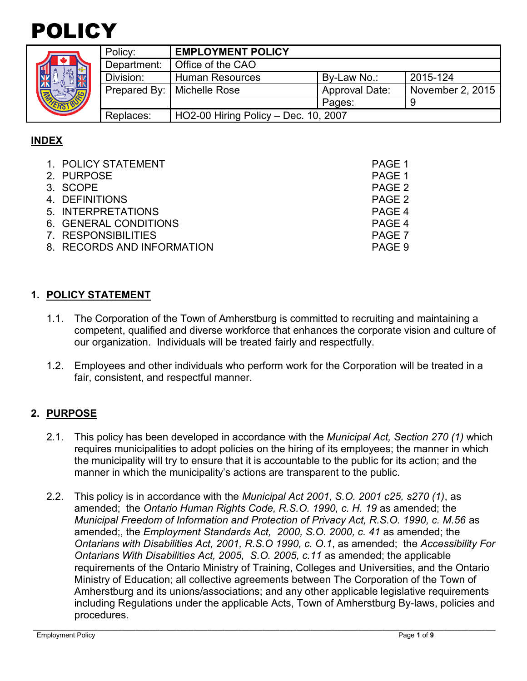# POLICY

|  | Policy:     | <b>EMPLOYMENT POLICY</b>             |                       |                  |
|--|-------------|--------------------------------------|-----------------------|------------------|
|  | Department: | Office of the CAO                    |                       |                  |
|  | Division:   | <b>Human Resources</b>               | By-Law No.:           | 2015-124         |
|  |             | Prepared By:   Michelle Rose         | <b>Approval Date:</b> | November 2, 2015 |
|  |             |                                      | Pages:                | g                |
|  | Replaces:   | HO2-00 Hiring Policy - Dec. 10, 2007 |                       |                  |

# **INDEX**

| 1. POLICY STATEMENT        | PAGE 1 |
|----------------------------|--------|
| 2. PURPOSE                 | PAGE 1 |
| 3. SCOPE                   | PAGE 2 |
| 4. DEFINITIONS             | PAGE 2 |
| 5. INTERPRETATIONS         | PAGE 4 |
| 6. GENERAL CONDITIONS      | PAGE 4 |
| 7. RESPONSIBILITIES        | PAGE 7 |
| 8. RECORDS AND INFORMATION | PAGE 9 |

## **1. POLICY STATEMENT**

- 1.1. The Corporation of the Town of Amherstburg is committed to recruiting and maintaining a competent, qualified and diverse workforce that enhances the corporate vision and culture of our organization. Individuals will be treated fairly and respectfully.
- 1.2. Employees and other individuals who perform work for the Corporation will be treated in a fair, consistent, and respectful manner.

## **2. PURPOSE**

- 2.1. This policy has been developed in accordance with the *Municipal Act, Section 270 (1)* which requires municipalities to adopt policies on the hiring of its employees; the manner in which the municipality will try to ensure that it is accountable to the public for its action; and the manner in which the municipality's actions are transparent to the public.
- 2.2. This policy is in accordance with the *Municipal Act 2001, S.O. 2001 c25, s270 (1)*, as amended; the *Ontario Human Rights Code, R.S.O. 1990, c. H. 19* as amended; the *Municipal Freedom of Information and Protection of Privacy Act, R.S.O. 1990, c. M.56* as amended;, the *Employment Standards Act, 2000, S.O. 2000, c. 41* as amended; the *Ontarians with Disabilities Act, 2001, R.S.O 1990, c. O.1*, as amended; the *Accessibility For Ontarians With Disabilities Act, 2005, S.O. 2005, c.11* as amended; the applicable requirements of the Ontario Ministry of Training, Colleges and Universities, and the Ontario Ministry of Education; all collective agreements between The Corporation of the Town of Amherstburg and its unions/associations; and any other applicable legislative requirements including Regulations under the applicable Acts, Town of Amherstburg By-laws, policies and procedures.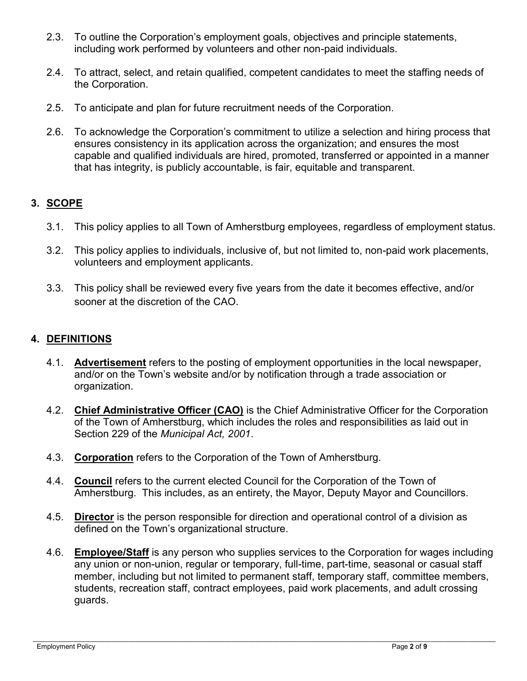- 2.3. To outline the Corporation's employment goals, objectives and principle statements, including work performed by volunteers and other non-paid individuals.
- 2.4. To attract, select, and retain qualified, competent candidates to meet the staffing needs of the Corporation.
- 2.5. To anticipate and plan for future recruitment needs of the Corporation.
- 2.6. To acknowledge the Corporation's commitment to utilize a selection and hiring process that ensures consistency in its application across the organization; and ensures the most capable and qualified individuals are hired, promoted, transferred or appointed in a manner that has integrity, is publicly accountable, is fair, equitable and transparent.

## **3. SCOPE**

- 3.1. This policy applies to all Town of Amherstburg employees, regardless of employment status.
- 3.2. This policy applies to individuals, inclusive of, but not limited to, non-paid work placements, volunteers and employment applicants.
- 3.3. This policy shall be reviewed every five years from the date it becomes effective, and/or sooner at the discretion of the CAO.

## **4. DEFINITIONS**

- 4.1. **Advertisement** refers to the posting of employment opportunities in the local newspaper, and/or on the Town's website and/or by notification through a trade association or organization.
- 4.2. **Chief Administrative Officer (CAO)** is the Chief Administrative Officer for the Corporation of the Town of Amherstburg, which includes the roles and responsibilities as laid out in Section 229 of the *Municipal Act, 2001*.
- 4.3. **Corporation** refers to the Corporation of the Town of Amherstburg.
- 4.4. **Council** refers to the current elected Council for the Corporation of the Town of Amherstburg. This includes, as an entirety, the Mayor, Deputy Mayor and Councillors.
- 4.5. **Director** is the person responsible for direction and operational control of a division as defined on the Town's organizational structure.
- 4.6. **Employee/Staff** is any person who supplies services to the Corporation for wages including any union or non-union, regular or temporary, full-time, part-time, seasonal or casual staff member, including but not limited to permanent staff, temporary staff, committee members, students, recreation staff, contract employees, paid work placements, and adult crossing guards.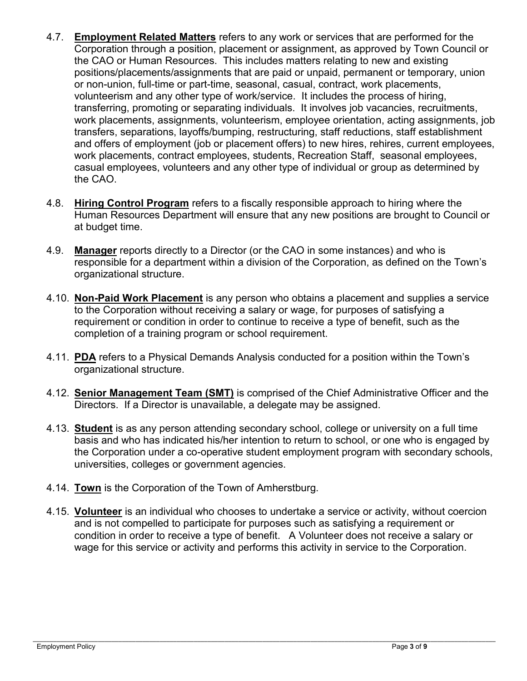- 4.7. **Employment Related Matters** refers to any work or services that are performed for the Corporation through a position, placement or assignment, as approved by Town Council or the CAO or Human Resources. This includes matters relating to new and existing positions/placements/assignments that are paid or unpaid, permanent or temporary, union or non-union, full-time or part-time, seasonal, casual, contract, work placements, volunteerism and any other type of work/service. It includes the process of hiring, transferring, promoting or separating individuals. It involves job vacancies, recruitments, work placements, assignments, volunteerism, employee orientation, acting assignments, job transfers, separations, layoffs/bumping, restructuring, staff reductions, staff establishment and offers of employment (job or placement offers) to new hires, rehires, current employees, work placements, contract employees, students, Recreation Staff, seasonal employees, casual employees, volunteers and any other type of individual or group as determined by the CAO.
- 4.8. **Hiring Control Program** refers to a fiscally responsible approach to hiring where the Human Resources Department will ensure that any new positions are brought to Council or at budget time.
- 4.9. **Manager** reports directly to a Director (or the CAO in some instances) and who is responsible for a department within a division of the Corporation, as defined on the Town's organizational structure.
- 4.10. **Non-Paid Work Placement** is any person who obtains a placement and supplies a service to the Corporation without receiving a salary or wage, for purposes of satisfying a requirement or condition in order to continue to receive a type of benefit, such as the completion of a training program or school requirement.
- 4.11. **PDA** refers to a Physical Demands Analysis conducted for a position within the Town's organizational structure.
- 4.12. **Senior Management Team (SMT)** is comprised of the Chief Administrative Officer and the Directors. If a Director is unavailable, a delegate may be assigned.
- 4.13. **Student** is as any person attending secondary school, college or university on a full time basis and who has indicated his/her intention to return to school, or one who is engaged by the Corporation under a co-operative student employment program with secondary schools, universities, colleges or government agencies.
- 4.14. **Town** is the Corporation of the Town of Amherstburg.
- 4.15. **Volunteer** is an individual who chooses to undertake a service or activity, without coercion and is not compelled to participate for purposes such as satisfying a requirement or condition in order to receive a type of benefit. A Volunteer does not receive a salary or wage for this service or activity and performs this activity in service to the Corporation.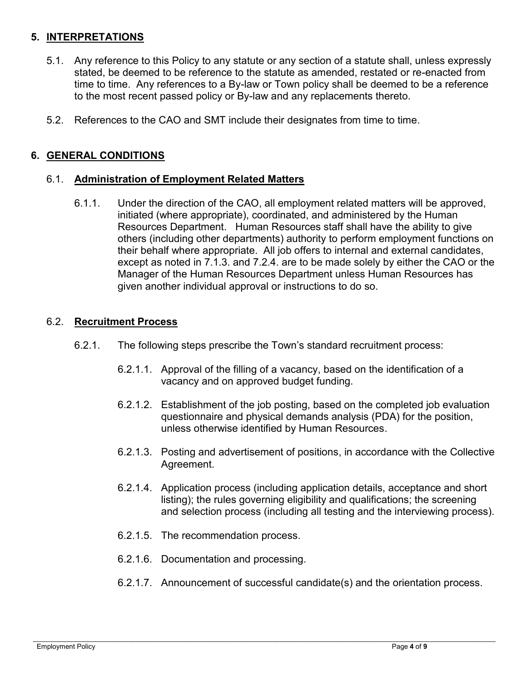## **5. INTERPRETATIONS**

- 5.1. Any reference to this Policy to any statute or any section of a statute shall, unless expressly stated, be deemed to be reference to the statute as amended, restated or re-enacted from time to time. Any references to a By-law or Town policy shall be deemed to be a reference to the most recent passed policy or By-law and any replacements thereto.
- 5.2. References to the CAO and SMT include their designates from time to time.

## **6. GENERAL CONDITIONS**

#### 6.1. **Administration of Employment Related Matters**

6.1.1. Under the direction of the CAO, all employment related matters will be approved, initiated (where appropriate), coordinated, and administered by the Human Resources Department. Human Resources staff shall have the ability to give others (including other departments) authority to perform employment functions on their behalf where appropriate. All job offers to internal and external candidates, except as noted in 7.1.3. and 7.2.4. are to be made solely by either the CAO or the Manager of the Human Resources Department unless Human Resources has given another individual approval or instructions to do so.

#### 6.2. **Recruitment Process**

- 6.2.1. The following steps prescribe the Town's standard recruitment process:
	- 6.2.1.1. Approval of the filling of a vacancy, based on the identification of a vacancy and on approved budget funding.
	- 6.2.1.2. Establishment of the job posting, based on the completed job evaluation questionnaire and physical demands analysis (PDA) for the position, unless otherwise identified by Human Resources.
	- 6.2.1.3. Posting and advertisement of positions, in accordance with the Collective Agreement.
	- 6.2.1.4. Application process (including application details, acceptance and short listing); the rules governing eligibility and qualifications; the screening and selection process (including all testing and the interviewing process).
	- 6.2.1.5. The recommendation process.
	- 6.2.1.6. Documentation and processing.
	- 6.2.1.7. Announcement of successful candidate(s) and the orientation process.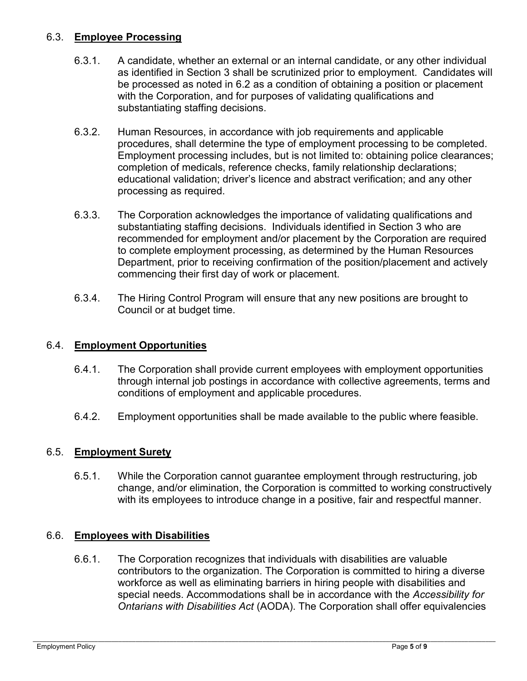## 6.3. **Employee Processing**

- 6.3.1. A candidate, whether an external or an internal candidate, or any other individual as identified in Section 3 shall be scrutinized prior to employment. Candidates will be processed as noted in 6.2 as a condition of obtaining a position or placement with the Corporation, and for purposes of validating qualifications and substantiating staffing decisions.
- 6.3.2. Human Resources, in accordance with job requirements and applicable procedures, shall determine the type of employment processing to be completed. Employment processing includes, but is not limited to: obtaining police clearances; completion of medicals, reference checks, family relationship declarations; educational validation; driver's licence and abstract verification; and any other processing as required.
- 6.3.3. The Corporation acknowledges the importance of validating qualifications and substantiating staffing decisions. Individuals identified in Section 3 who are recommended for employment and/or placement by the Corporation are required to complete employment processing, as determined by the Human Resources Department, prior to receiving confirmation of the position/placement and actively commencing their first day of work or placement.
- 6.3.4. The Hiring Control Program will ensure that any new positions are brought to Council or at budget time.

#### 6.4. **Employment Opportunities**

- 6.4.1. The Corporation shall provide current employees with employment opportunities through internal job postings in accordance with collective agreements, terms and conditions of employment and applicable procedures.
- 6.4.2. Employment opportunities shall be made available to the public where feasible.

#### 6.5. **Employment Surety**

6.5.1. While the Corporation cannot guarantee employment through restructuring, job change, and/or elimination, the Corporation is committed to working constructively with its employees to introduce change in a positive, fair and respectful manner.

#### 6.6. **Employees with Disabilities**

6.6.1. The Corporation recognizes that individuals with disabilities are valuable contributors to the organization. The Corporation is committed to hiring a diverse workforce as well as eliminating barriers in hiring people with disabilities and special needs. Accommodations shall be in accordance with the *Accessibility for Ontarians with Disabilities Act* (AODA). The Corporation shall offer equivalencies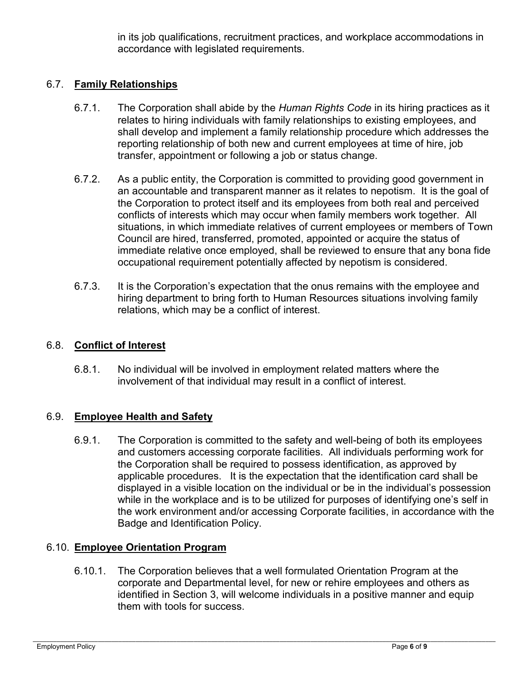in its job qualifications, recruitment practices, and workplace accommodations in accordance with legislated requirements.

## 6.7. **Family Relationships**

- 6.7.1. The Corporation shall abide by the *Human Rights Code* in its hiring practices as it relates to hiring individuals with family relationships to existing employees, and shall develop and implement a family relationship procedure which addresses the reporting relationship of both new and current employees at time of hire, job transfer, appointment or following a job or status change.
- 6.7.2. As a public entity, the Corporation is committed to providing good government in an accountable and transparent manner as it relates to nepotism. It is the goal of the Corporation to protect itself and its employees from both real and perceived conflicts of interests which may occur when family members work together. All situations, in which immediate relatives of current employees or members of Town Council are hired, transferred, promoted, appointed or acquire the status of immediate relative once employed, shall be reviewed to ensure that any bona fide occupational requirement potentially affected by nepotism is considered.
- 6.7.3. It is the Corporation's expectation that the onus remains with the employee and hiring department to bring forth to Human Resources situations involving family relations, which may be a conflict of interest.

## 6.8. **Conflict of Interest**

6.8.1. No individual will be involved in employment related matters where the involvement of that individual may result in a conflict of interest.

#### 6.9. **Employee Health and Safety**

6.9.1. The Corporation is committed to the safety and well-being of both its employees and customers accessing corporate facilities. All individuals performing work for the Corporation shall be required to possess identification, as approved by applicable procedures. It is the expectation that the identification card shall be displayed in a visible location on the individual or be in the individual's possession while in the workplace and is to be utilized for purposes of identifying one's self in the work environment and/or accessing Corporate facilities, in accordance with the Badge and Identification Policy.

#### 6.10. **Employee Orientation Program**

6.10.1. The Corporation believes that a well formulated Orientation Program at the corporate and Departmental level, for new or rehire employees and others as identified in Section 3, will welcome individuals in a positive manner and equip them with tools for success.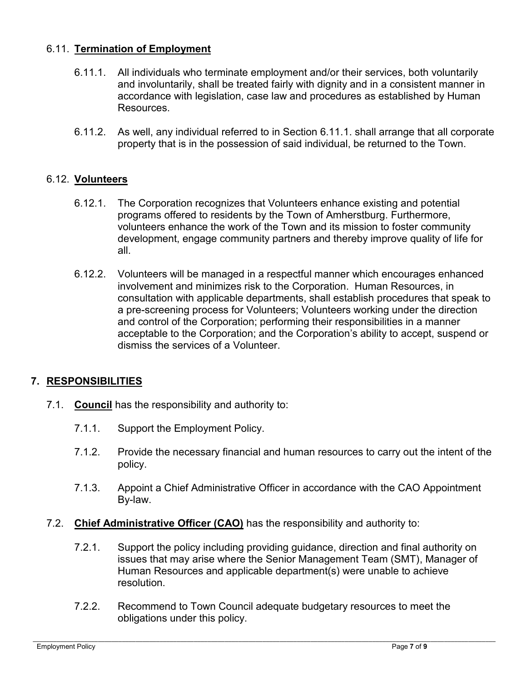## 6.11. **Termination of Employment**

- 6.11.1. All individuals who terminate employment and/or their services, both voluntarily and involuntarily, shall be treated fairly with dignity and in a consistent manner in accordance with legislation, case law and procedures as established by Human Resources.
- 6.11.2. As well, any individual referred to in Section 6.11.1. shall arrange that all corporate property that is in the possession of said individual, be returned to the Town.

#### 6.12. **Volunteers**

- 6.12.1. The Corporation recognizes that Volunteers enhance existing and potential programs offered to residents by the Town of Amherstburg. Furthermore, volunteers enhance the work of the Town and its mission to foster community development, engage community partners and thereby improve quality of life for all.
- 6.12.2. Volunteers will be managed in a respectful manner which encourages enhanced involvement and minimizes risk to the Corporation. Human Resources, in consultation with applicable departments, shall establish procedures that speak to a pre-screening process for Volunteers; Volunteers working under the direction and control of the Corporation; performing their responsibilities in a manner acceptable to the Corporation; and the Corporation's ability to accept, suspend or dismiss the services of a Volunteer.

## **7. RESPONSIBILITIES**

- 7.1. **Council** has the responsibility and authority to:
	- 7.1.1. Support the Employment Policy.
	- 7.1.2. Provide the necessary financial and human resources to carry out the intent of the policy.
	- 7.1.3. Appoint a Chief Administrative Officer in accordance with the CAO Appointment By-law.
- 7.2. **Chief Administrative Officer (CAO)** has the responsibility and authority to:
	- 7.2.1. Support the policy including providing guidance, direction and final authority on issues that may arise where the Senior Management Team (SMT), Manager of Human Resources and applicable department(s) were unable to achieve resolution.
	- 7.2.2. Recommend to Town Council adequate budgetary resources to meet the obligations under this policy.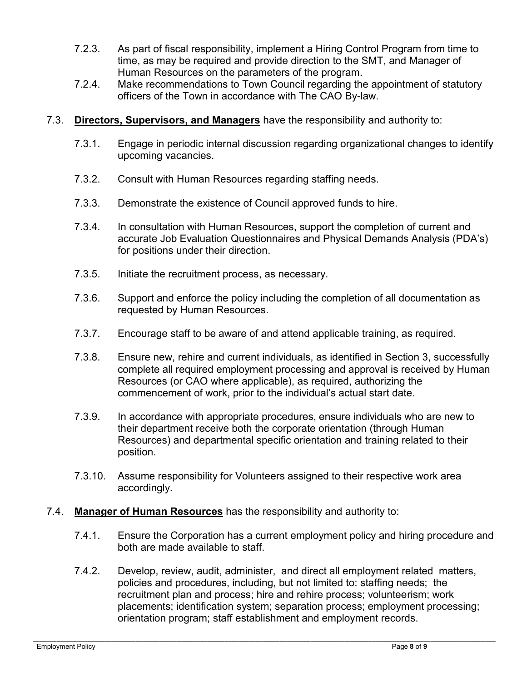- 7.2.3. As part of fiscal responsibility, implement a Hiring Control Program from time to time, as may be required and provide direction to the SMT, and Manager of Human Resources on the parameters of the program.
- 7.2.4. Make recommendations to Town Council regarding the appointment of statutory officers of the Town in accordance with The CAO By-law.
- 7.3. **Directors, Supervisors, and Managers** have the responsibility and authority to:
	- 7.3.1. Engage in periodic internal discussion regarding organizational changes to identify upcoming vacancies.
	- 7.3.2. Consult with Human Resources regarding staffing needs.
	- 7.3.3. Demonstrate the existence of Council approved funds to hire.
	- 7.3.4. In consultation with Human Resources, support the completion of current and accurate Job Evaluation Questionnaires and Physical Demands Analysis (PDA's) for positions under their direction.
	- 7.3.5. Initiate the recruitment process, as necessary.
	- 7.3.6. Support and enforce the policy including the completion of all documentation as requested by Human Resources.
	- 7.3.7. Encourage staff to be aware of and attend applicable training, as required.
	- 7.3.8. Ensure new, rehire and current individuals, as identified in Section 3, successfully complete all required employment processing and approval is received by Human Resources (or CAO where applicable), as required, authorizing the commencement of work, prior to the individual's actual start date.
	- 7.3.9. In accordance with appropriate procedures, ensure individuals who are new to their department receive both the corporate orientation (through Human Resources) and departmental specific orientation and training related to their position.
	- 7.3.10. Assume responsibility for Volunteers assigned to their respective work area accordingly.

#### 7.4. **Manager of Human Resources** has the responsibility and authority to:

- 7.4.1. Ensure the Corporation has a current employment policy and hiring procedure and both are made available to staff.
- 7.4.2. Develop, review, audit, administer, and direct all employment related matters, policies and procedures, including, but not limited to: staffing needs; the recruitment plan and process; hire and rehire process; volunteerism; work placements; identification system; separation process; employment processing; orientation program; staff establishment and employment records.